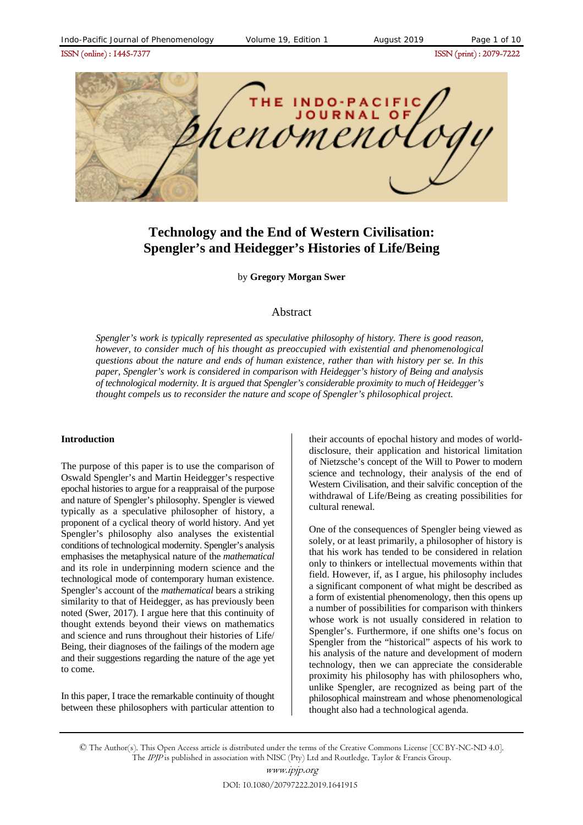ISSN (online) : 1445-7377ISSN (print) : 2079-7222



# **Technology and the End of Western Civilisation: Spengler's and Heidegger's Histories of Life/Being**

by **Gregory Morgan Swer**

## Abstract

*Spengler's work is typically represented as speculative philosophy of history. There is good reason, however, to consider much of his thought as preoccupied with existential and phenomenological questions about the nature and ends of human existence, rather than with history per se. In this paper, Spengler's work is considered in comparison with Heidegger's history of Being and analysis of technological modernity. It is argued that Spengler's considerable proximity to much of Heidegger's thought compels us to reconsider the nature and scope of Spengler's philosophical project.* 

## **Introduction**

The purpose of this paper is to use the comparison of Oswald Spengler's and Martin Heidegger's respective epochal histories to argue for a reappraisal of the purpose and nature of Spengler's philosophy. Spengler is viewed typically as a speculative philosopher of history, a proponent of a cyclical theory of world history. And yet Spengler's philosophy also analyses the existential conditions of technological modernity. Spengler's analysis emphasises the metaphysical nature of the *mathematical* and its role in underpinning modern science and the technological mode of contemporary human existence. Spengler's account of the *mathematical* bears a striking similarity to that of Heidegger, as has previously been noted (Swer, 2017). I argue here that this continuity of thought extends beyond their views on mathematics and science and runs throughout their histories of Life/ Being, their diagnoses of the failings of the modern age and their suggestions regarding the nature of the age yet to come.

In this paper, I trace the remarkable continuity of thought between these philosophers with particular attention to their accounts of epochal history and modes of worlddisclosure, their application and historical limitation of Nietzsche's concept of the Will to Power to modern science and technology, their analysis of the end of Western Civilisation, and their salvific conception of the withdrawal of Life/Being as creating possibilities for cultural renewal.

One of the consequences of Spengler being viewed as solely, or at least primarily, a philosopher of history is that his work has tended to be considered in relation only to thinkers or intellectual movements within that field. However, if, as I argue, his philosophy includes a significant component of what might be described as a form of existential phenomenology, then this opens up a number of possibilities for comparison with thinkers whose work is not usually considered in relation to Spengler's. Furthermore, if one shifts one's focus on Spengler from the "historical" aspects of his work to his analysis of the nature and development of modern technology, then we can appreciate the considerable proximity his philosophy has with philosophers who, unlike Spengler, are recognized as being part of the philosophical mainstream and whose phenomenological thought also had a technological agenda.

© The Author(s). This Open Access article is distributed under the terms of the Creative Commons License [CC BY-NC-ND 4.0]. The IPJP is published in association with NISC (Pty) Ltd and Routledge, Taylor & Francis Group.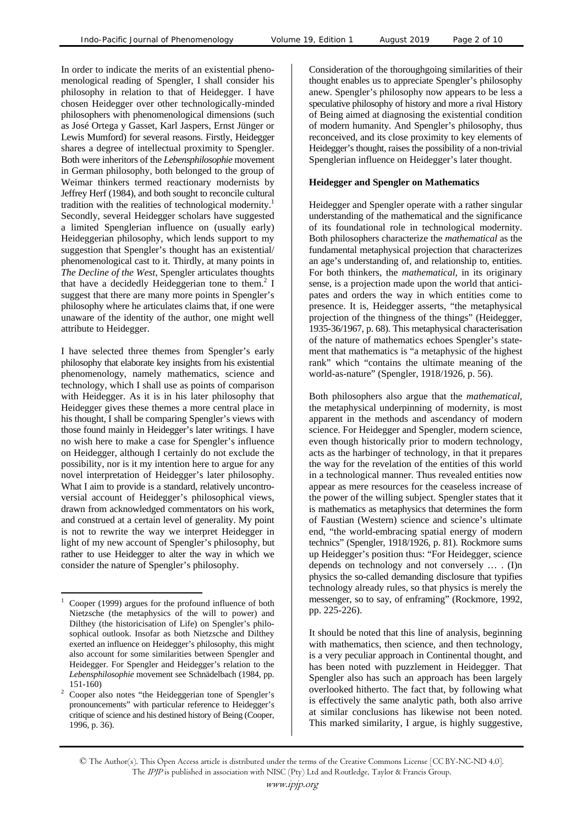In order to indicate the merits of an existential phenomenological reading of Spengler, I shall consider his philosophy in relation to that of Heidegger. I have chosen Heidegger over other technologically-minded philosophers with phenomenological dimensions (such as José Ortega y Gasset, Karl Jaspers, Ernst Jünger or Lewis Mumford) for several reasons. Firstly, Heidegger shares a degree of intellectual proximity to Spengler. Both were inheritors of the *Lebensphilosophie* movement in German philosophy, both belonged to the group of Weimar thinkers termed reactionary modernists by Jeffrey Herf (1984), and both sought to reconcile cultural tradition with the realities of technological modernity.<sup>1</sup> Secondly, several Heidegger scholars have suggested a limited Spenglerian influence on (usually early) Heideggerian philosophy, which lends support to my suggestion that Spengler's thought has an existential/ phenomenological cast to it. Thirdly, at many points in *The Decline of the West*, Spengler articulates thoughts that have a decidedly Heideggerian tone to them.<sup>2</sup> I suggest that there are many more points in Spengler's philosophy where he articulates claims that, if one were unaware of the identity of the author, one might well attribute to Heidegger.

I have selected three themes from Spengler's early philosophy that elaborate key insights from his existential phenomenology, namely mathematics, science and technology, which I shall use as points of comparison with Heidegger. As it is in his later philosophy that Heidegger gives these themes a more central place in his thought, I shall be comparing Spengler's views with those found mainly in Heidegger's later writings. I have no wish here to make a case for Spengler's influence on Heidegger, although I certainly do not exclude the possibility, nor is it my intention here to argue for any novel interpretation of Heidegger's later philosophy. What I aim to provide is a standard, relatively uncontroversial account of Heidegger's philosophical views, drawn from acknowledged commentators on his work, and construed at a certain level of generality. My point is not to rewrite the way we interpret Heidegger in light of my new account of Spengler's philosophy, but rather to use Heidegger to alter the way in which we consider the nature of Spengler's philosophy.

Consideration of the thoroughgoing similarities of their thought enables us to appreciate Spengler's philosophy anew. Spengler's philosophy now appears to be less a speculative philosophy of history and more a rival History of Being aimed at diagnosing the existential condition of modern humanity. And Spengler's philosophy, thus reconceived, and its close proximity to key elements of Heidegger's thought, raises the possibility of a non-trivial Spenglerian influence on Heidegger's later thought.

#### **Heidegger and Spengler on Mathematics**

Heidegger and Spengler operate with a rather singular understanding of the mathematical and the significance of its foundational role in technological modernity. Both philosophers characterize the *mathematical* as the fundamental metaphysical projection that characterizes an age's understanding of, and relationship to, entities. For both thinkers, the *mathematical*, in its originary sense, is a projection made upon the world that anticipates and orders the way in which entities come to presence. It is, Heidegger asserts, "the metaphysical projection of the thingness of the things" (Heidegger, 1935-36/1967, p. 68). This metaphysical characterisation of the nature of mathematics echoes Spengler's statement that mathematics is "a metaphysic of the highest rank" which "contains the ultimate meaning of the world-as-nature" (Spengler, 1918/1926, p. 56).

Both philosophers also argue that the *mathematical*, the metaphysical underpinning of modernity, is most apparent in the methods and ascendancy of modern science. For Heidegger and Spengler, modern science, even though historically prior to modern technology, acts as the harbinger of technology, in that it prepares the way for the revelation of the entities of this world in a technological manner. Thus revealed entities now appear as mere resources for the ceaseless increase of the power of the willing subject. Spengler states that it is mathematics as metaphysics that determines the form of Faustian (Western) science and science's ultimate end, "the world-embracing spatial energy of modern technics" (Spengler, 1918/1926, p. 81). Rockmore sums up Heidegger's position thus: "For Heidegger, science depends on technology and not conversely … . (I)n physics the so-called demanding disclosure that typifies technology already rules, so that physics is merely the messenger, so to say, of enframing" (Rockmore, 1992, pp. 225-226).

It should be noted that this line of analysis, beginning with mathematics, then science, and then technology, is a very peculiar approach in Continental thought, and has been noted with puzzlement in Heidegger. That Spengler also has such an approach has been largely overlooked hitherto. The fact that, by following what is effectively the same analytic path, both also arrive at similar conclusions has likewise not been noted. This marked similarity, I argue, is highly suggestive,

 $\overline{a}$ 1 Cooper (1999) argues for the profound influence of both Nietzsche (the metaphysics of the will to power) and Dilthey (the historicisation of Life) on Spengler's philosophical outlook. Insofar as both Nietzsche and Dilthey exerted an influence on Heidegger's philosophy, this might also account for some similarities between Spengler and Heidegger. For Spengler and Heidegger's relation to the *Lebensphilosophie* movement see Schnädelbach (1984, pp. 151-160) 2

Cooper also notes "the Heideggerian tone of Spengler's pronouncements" with particular reference to Heidegger's critique of science and his destined history of Being (Cooper, 1996, p. 36).

<sup>©</sup> The Author(s). This Open Access article is distributed under the terms of the Creative Commons License [CC BY-NC-ND 4.0]. The IPJP is published in association with NISC (Pty) Ltd and Routledge, Taylor & Francis Group.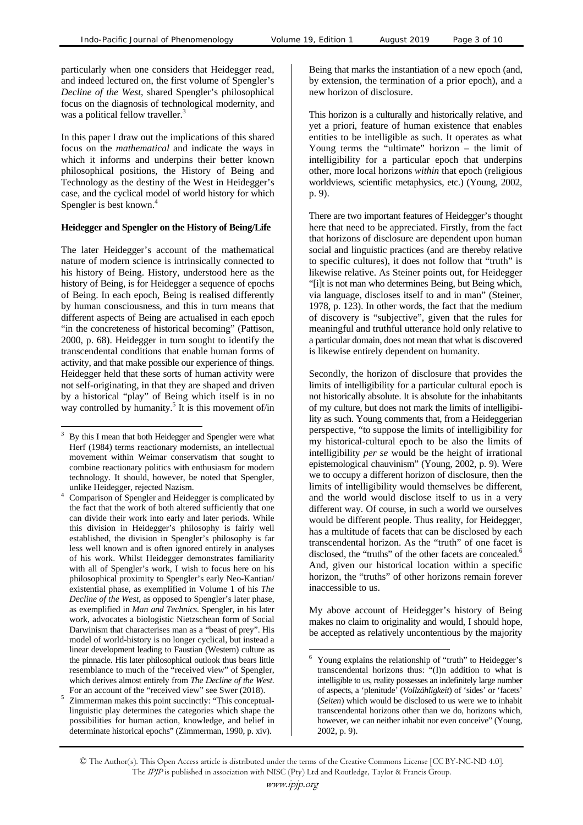particularly when one considers that Heidegger read, and indeed lectured on, the first volume of Spengler's *Decline of the West*, shared Spengler's philosophical focus on the diagnosis of technological modernity, and was a political fellow traveller.<sup>3</sup>

In this paper I draw out the implications of this shared focus on the *mathematical* and indicate the ways in which it informs and underpins their better known philosophical positions, the History of Being and Technology as the destiny of the West in Heidegger's case, and the cyclical model of world history for which Spengler is best known.<sup>4</sup>

## **Heidegger and Spengler on the History of Being/Life**

The later Heidegger's account of the mathematical nature of modern science is intrinsically connected to his history of Being. History, understood here as the history of Being, is for Heidegger a sequence of epochs of Being. In each epoch, Being is realised differently by human consciousness, and this in turn means that different aspects of Being are actualised in each epoch "in the concreteness of historical becoming" (Pattison, 2000, p. 68). Heidegger in turn sought to identify the transcendental conditions that enable human forms of activity, and that make possible our experience of things. Heidegger held that these sorts of human activity were not self-originating, in that they are shaped and driven by a historical "play" of Being which itself is in no way controlled by humanity.<sup>5</sup> It is this movement of/in

 $\overline{a}$ 

Being that marks the instantiation of a new epoch (and, by extension, the termination of a prior epoch), and a new horizon of disclosure.

This horizon is a culturally and historically relative, and yet a priori, feature of human existence that enables entities to be intelligible as such. It operates as what Young terms the "ultimate" horizon – the limit of intelligibility for a particular epoch that underpins other, more local horizons *within* that epoch (religious worldviews, scientific metaphysics, etc.) (Young, 2002, p. 9).

There are two important features of Heidegger's thought here that need to be appreciated. Firstly, from the fact that horizons of disclosure are dependent upon human social and linguistic practices (and are thereby relative to specific cultures), it does not follow that "truth" is likewise relative. As Steiner points out, for Heidegger "[i]t is not man who determines Being, but Being which, via language, discloses itself to and in man" (Steiner, 1978, p. 123). In other words, the fact that the medium of discovery is "subjective", given that the rules for meaningful and truthful utterance hold only relative to a particular domain, does not mean that what is discovered is likewise entirely dependent on humanity.

Secondly, the horizon of disclosure that provides the limits of intelligibility for a particular cultural epoch is not historically absolute. It is absolute for the inhabitants of my culture, but does not mark the limits of intelligibility as such. Young comments that, from a Heideggerian perspective, "to suppose the limits of intelligibility for my historical-cultural epoch to be also the limits of intelligibility *per se* would be the height of irrational epistemological chauvinism" (Young, 2002, p. 9). Were we to occupy a different horizon of disclosure, then the limits of intelligibility would themselves be different, and the world would disclose itself to us in a very different way. Of course, in such a world we ourselves would be different people. Thus reality, for Heidegger, has a multitude of facets that can be disclosed by each transcendental horizon. As the "truth" of one facet is disclosed, the "truths" of the other facets are concealed.<sup>6</sup> And, given our historical location within a specific horizon, the "truths" of other horizons remain forever inaccessible to us.

My above account of Heidegger's history of Being makes no claim to originality and would, I should hope, be accepted as relatively uncontentious by the majority

<sup>3</sup> By this I mean that both Heidegger and Spengler were what Herf (1984) terms reactionary modernists, an intellectual movement within Weimar conservatism that sought to combine reactionary politics with enthusiasm for modern technology. It should, however, be noted that Spengler, unlike Heidegger, rejected Nazism. 4

Comparison of Spengler and Heidegger is complicated by the fact that the work of both altered sufficiently that one can divide their work into early and later periods. While this division in Heidegger's philosophy is fairly well established, the division in Spengler's philosophy is far less well known and is often ignored entirely in analyses of his work. Whilst Heidegger demonstrates familiarity with all of Spengler's work, I wish to focus here on his philosophical proximity to Spengler's early Neo-Kantian/ existential phase, as exemplified in Volume 1 of his *The Decline of the West*, as opposed to Spengler's later phase, as exemplified in *Man and Technics*. Spengler, in his later work, advocates a biologistic Nietzschean form of Social Darwinism that characterises man as a "beast of prey". His model of world-history is no longer cyclical, but instead a linear development leading to Faustian (Western) culture as the pinnacle. His later philosophical outlook thus bears little resemblance to much of the "received view" of Spengler, which derives almost entirely from *The Decline of the West*. For an account of the "received view" see Swer (2018).

Zimmerman makes this point succinctly: "This conceptuallinguistic play determines the categories which shape the possibilities for human action, knowledge, and belief in determinate historical epochs" (Zimmerman, 1990, p. xiv).

 6 Young explains the relationship of "truth" to Heidegger's transcendental horizons thus: "(I)n addition to what is intelligible to us, reality possesses an indefinitely large number of aspects, a 'plenitude' (*Vollzähligkeit*) of 'sides' or 'facets' (*Seiten*) which would be disclosed to us were we to inhabit transcendental horizons other than we do, horizons which, however, we can neither inhabit nor even conceive" (Young, 2002, p. 9).

<sup>©</sup> The Author(s). This Open Access article is distributed under the terms of the Creative Commons License [CC BY-NC-ND 4.0]. The IPJP is published in association with NISC (Pty) Ltd and Routledge, Taylor & Francis Group.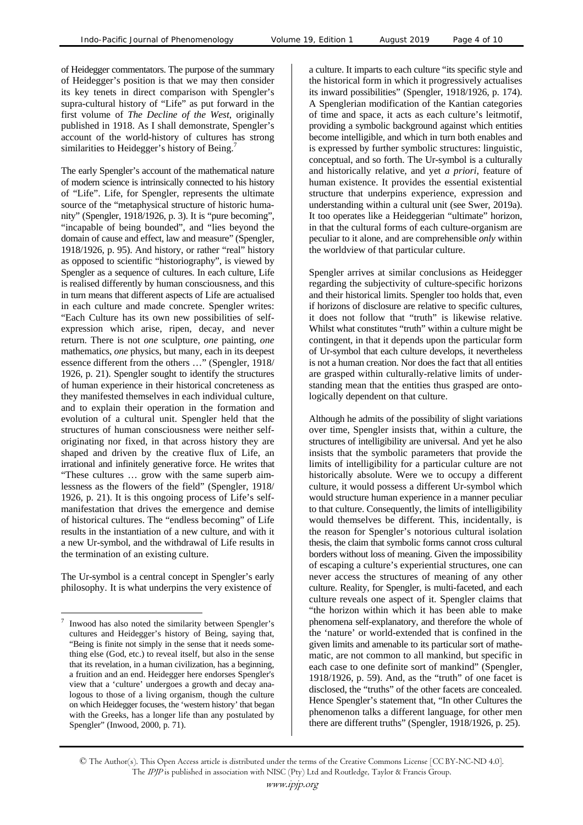of Heidegger commentators. The purpose of the summary of Heidegger's position is that we may then consider its key tenets in direct comparison with Spengler's supra-cultural history of "Life" as put forward in the first volume of *The Decline of the West*, originally published in 1918. As I shall demonstrate, Spengler's account of the world-history of cultures has strong similarities to Heidegger's history of Being.<sup>7</sup>

The early Spengler's account of the mathematical nature of modern science is intrinsically connected to his history of "Life". Life, for Spengler, represents the ultimate source of the "metaphysical structure of historic humanity" (Spengler, 1918/1926, p. 3). It is "pure becoming", "incapable of being bounded", and "lies beyond the domain of cause and effect, law and measure" (Spengler, 1918/1926, p. 95). And history, or rather "real" history as opposed to scientific "historiography", is viewed by Spengler as a sequence of cultures. In each culture, Life is realised differently by human consciousness, and this in turn means that different aspects of Life are actualised in each culture and made concrete. Spengler writes: "Each Culture has its own new possibilities of selfexpression which arise, ripen, decay, and never return. There is not *one* sculpture, *one* painting, *one* mathematics, *one* physics, but many, each in its deepest essence different from the others …" (Spengler, 1918/ 1926, p. 21). Spengler sought to identify the structures of human experience in their historical concreteness as they manifested themselves in each individual culture, and to explain their operation in the formation and evolution of a cultural unit. Spengler held that the structures of human consciousness were neither selforiginating nor fixed, in that across history they are shaped and driven by the creative flux of Life, an irrational and infinitely generative force. He writes that "These cultures … grow with the same superb aimlessness as the flowers of the field" (Spengler, 1918/ 1926, p. 21). It is this ongoing process of Life's selfmanifestation that drives the emergence and demise of historical cultures. The "endless becoming" of Life results in the instantiation of a new culture, and with it a new Ur-symbol, and the withdrawal of Life results in the termination of an existing culture.

The Ur-symbol is a central concept in Spengler's early philosophy. It is what underpins the very existence of

 $\overline{a}$ 

a culture. It imparts to each culture "its specific style and the historical form in which it progressively actualises its inward possibilities" (Spengler, 1918/1926, p. 174). A Spenglerian modification of the Kantian categories of time and space, it acts as each culture's leitmotif, providing a symbolic background against which entities become intelligible, and which in turn both enables and is expressed by further symbolic structures: linguistic, conceptual, and so forth. The Ur-symbol is a culturally and historically relative, and yet *a priori*, feature of human existence. It provides the essential existential structure that underpins experience, expression and understanding within a cultural unit (see Swer, 2019a). It too operates like a Heideggerian "ultimate" horizon, in that the cultural forms of each culture-organism are peculiar to it alone, and are comprehensible *only* within the worldview of that particular culture.

Spengler arrives at similar conclusions as Heidegger regarding the subjectivity of culture-specific horizons and their historical limits. Spengler too holds that, even if horizons of disclosure are relative to specific cultures, it does not follow that "truth" is likewise relative. Whilst what constitutes "truth" within a culture might be contingent, in that it depends upon the particular form of Ur-symbol that each culture develops, it nevertheless is not a human creation. Nor does the fact that all entities are grasped within culturally-relative limits of understanding mean that the entities thus grasped are ontologically dependent on that culture.

Although he admits of the possibility of slight variations over time, Spengler insists that, within a culture, the structures of intelligibility are universal. And yet he also insists that the symbolic parameters that provide the limits of intelligibility for a particular culture are not historically absolute. Were we to occupy a different culture, it would possess a different Ur-symbol which would structure human experience in a manner peculiar to that culture. Consequently, the limits of intelligibility would themselves be different. This, incidentally, is the reason for Spengler's notorious cultural isolation thesis, the claim that symbolic forms cannot cross cultural borders without loss of meaning. Given the impossibility of escaping a culture's experiential structures, one can never access the structures of meaning of any other culture. Reality, for Spengler, is multi-faceted, and each culture reveals one aspect of it. Spengler claims that "the horizon within which it has been able to make phenomena self-explanatory, and therefore the whole of the 'nature' or world-extended that is confined in the given limits and amenable to its particular sort of mathematic, are not common to all mankind, but specific in each case to one definite sort of mankind" (Spengler, 1918/1926, p. 59). And, as the "truth" of one facet is disclosed, the "truths" of the other facets are concealed. Hence Spengler's statement that, "In other Cultures the phenomenon talks a different language, for other men there are different truths" (Spengler, 1918/1926, p. 25).

<sup>7</sup> Inwood has also noted the similarity between Spengler's cultures and Heidegger's history of Being, saying that, "Being is finite not simply in the sense that it needs something else (God, etc.) to reveal itself, but also in the sense that its revelation, in a human civilization, has a beginning, a fruition and an end. Heidegger here endorses Spengler's view that a 'culture' undergoes a growth and decay analogous to those of a living organism, though the culture on which Heidegger focuses, the 'western history' that began with the Greeks, has a longer life than any postulated by Spengler" (Inwood, 2000, p. 71).

<sup>©</sup> The Author(s). This Open Access article is distributed under the terms of the Creative Commons License [CC BY-NC-ND 4.0]. The IPJP is published in association with NISC (Pty) Ltd and Routledge, Taylor & Francis Group.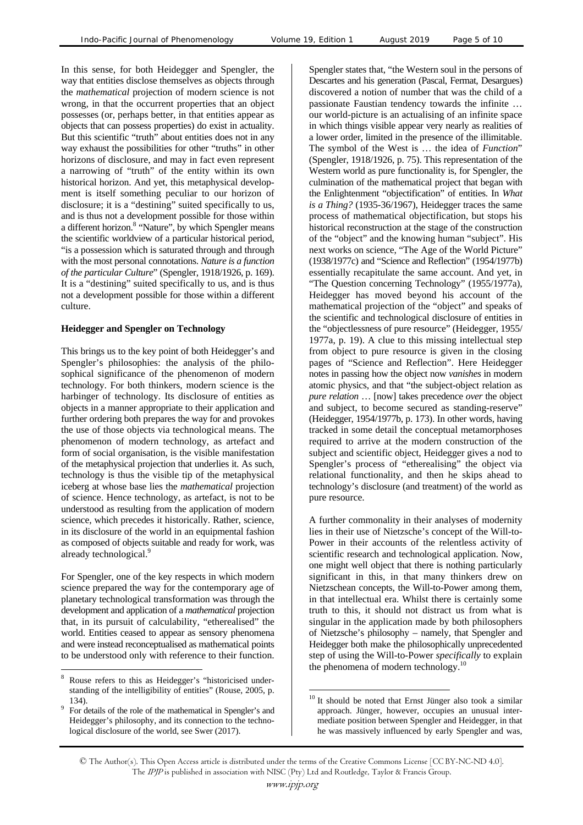In this sense, for both Heidegger and Spengler, the way that entities disclose themselves as objects through the *mathematical* projection of modern science is not wrong, in that the occurrent properties that an object possesses (or, perhaps better, in that entities appear as objects that can possess properties) do exist in actuality. But this scientific "truth" about entities does not in any way exhaust the possibilities for other "truths" in other horizons of disclosure, and may in fact even represent a narrowing of "truth" of the entity within its own historical horizon. And yet, this metaphysical development is itself something peculiar to our horizon of disclosure; it is a "destining" suited specifically to us, and is thus not a development possible for those within a different horizon.<sup>8</sup> "Nature", by which Spengler means the scientific worldview of a particular historical period, "is a possession which is saturated through and through with the most personal connotations. *Nature is a function of the particular Culture*" (Spengler, 1918/1926, p. 169). It is a "destining" suited specifically to us, and is thus not a development possible for those within a different culture.

## **Heidegger and Spengler on Technology**

This brings us to the key point of both Heidegger's and Spengler's philosophies: the analysis of the philosophical significance of the phenomenon of modern technology. For both thinkers, modern science is the harbinger of technology. Its disclosure of entities as objects in a manner appropriate to their application and further ordering both prepares the way for and provokes the use of those objects via technological means. The phenomenon of modern technology, as artefact and form of social organisation, is the visible manifestation of the metaphysical projection that underlies it. As such, technology is thus the visible tip of the metaphysical iceberg at whose base lies the *mathematical* projection of science. Hence technology, as artefact, is not to be understood as resulting from the application of modern science, which precedes it historically. Rather, science, in its disclosure of the world in an equipmental fashion as composed of objects suitable and ready for work, was already technological.<sup>9</sup>

For Spengler, one of the key respects in which modern science prepared the way for the contemporary age of planetary technological transformation was through the development and application of a *mathematical* projection that, in its pursuit of calculability, "etherealised" the world. Entities ceased to appear as sensory phenomena and were instead reconceptualised as mathematical points to be understood only with reference to their function.

 $\overline{a}$ 

Spengler states that, "the Western soul in the persons of Descartes and his generation (Pascal, Fermat, Desargues) discovered a notion of number that was the child of a passionate Faustian tendency towards the infinite … our world-picture is an actualising of an infinite space in which things visible appear very nearly as realities of a lower order, limited in the presence of the illimitable. The symbol of the West is … the idea of *Function*" (Spengler, 1918/1926, p. 75). This representation of the Western world as pure functionality is, for Spengler, the culmination of the mathematical project that began with the Enlightenment "objectification" of entities. In *What is a Thing?* (1935-36/1967), Heidegger traces the same process of mathematical objectification, but stops his historical reconstruction at the stage of the construction of the "object" and the knowing human "subject". His next works on science, "The Age of the World Picture" (1938/1977c) and "Science and Reflection" (1954/1977b) essentially recapitulate the same account. And yet, in "The Question concerning Technology" (1955/1977a), Heidegger has moved beyond his account of the mathematical projection of the "object" and speaks of the scientific and technological disclosure of entities in the "objectlessness of pure resource" (Heidegger, 1955/ 1977a, p. 19). A clue to this missing intellectual step from object to pure resource is given in the closing pages of "Science and Reflection". Here Heidegger notes in passing how the object now *vanishes* in modern atomic physics, and that "the subject-object relation as *pure relation* … [now] takes precedence *over* the object and subject, to become secured as standing-reserve" (Heidegger, 1954/1977b, p. 173). In other words, having tracked in some detail the conceptual metamorphoses required to arrive at the modern construction of the subject and scientific object, Heidegger gives a nod to Spengler's process of "etherealising" the object via relational functionality, and then he skips ahead to technology's disclosure (and treatment) of the world as pure resource.

A further commonality in their analyses of modernity lies in their use of Nietzsche's concept of the Will-to-Power in their accounts of the relentless activity of scientific research and technological application. Now, one might well object that there is nothing particularly significant in this, in that many thinkers drew on Nietzschean concepts, the Will-to-Power among them, in that intellectual era. Whilst there is certainly some truth to this, it should not distract us from what is singular in the application made by both philosophers of Nietzsche's philosophy – namely, that Spengler and Heidegger both make the philosophically unprecedented step of using the Will-to-Power *specifically* to explain the phenomena of modern technology.<sup>10</sup>

 $\overline{a}$ 

<sup>8</sup> Rouse refers to this as Heidegger's "historicised understanding of the intelligibility of entities" (Rouse, 2005, p.  $134$ ).

For details of the role of the mathematical in Spengler's and Heidegger's philosophy, and its connection to the technological disclosure of the world, see Swer (2017).

<sup>&</sup>lt;sup>10</sup> It should be noted that Ernst Jünger also took a similar approach. Jünger, however, occupies an unusual intermediate position between Spengler and Heidegger, in that he was massively influenced by early Spengler and was,

<sup>©</sup> The Author(s). This Open Access article is distributed under the terms of the Creative Commons License [CC BY-NC-ND 4.0]. The IPJP is published in association with NISC (Pty) Ltd and Routledge, Taylor & Francis Group.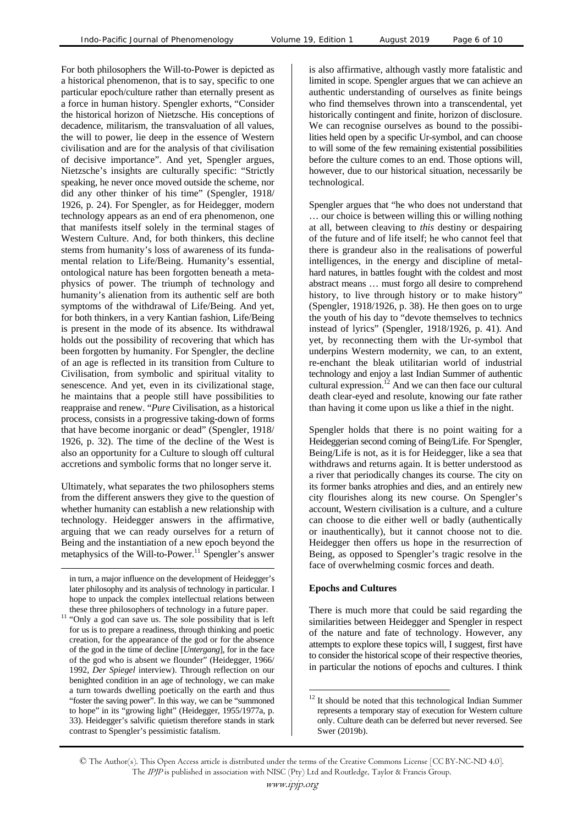For both philosophers the Will-to-Power is depicted as a historical phenomenon, that is to say, specific to one particular epoch/culture rather than eternally present as a force in human history. Spengler exhorts, "Consider the historical horizon of Nietzsche. His conceptions of decadence, militarism, the transvaluation of all values, the will to power, lie deep in the essence of Western civilisation and are for the analysis of that civilisation of decisive importance". And yet, Spengler argues, Nietzsche's insights are culturally specific: "Strictly speaking, he never once moved outside the scheme, nor did any other thinker of his time" (Spengler, 1918/ 1926, p. 24). For Spengler, as for Heidegger, modern technology appears as an end of era phenomenon, one that manifests itself solely in the terminal stages of Western Culture. And, for both thinkers, this decline stems from humanity's loss of awareness of its fundamental relation to Life/Being. Humanity's essential, ontological nature has been forgotten beneath a metaphysics of power. The triumph of technology and humanity's alienation from its authentic self are both symptoms of the withdrawal of Life/Being. And yet, for both thinkers, in a very Kantian fashion, Life/Being is present in the mode of its absence. Its withdrawal holds out the possibility of recovering that which has been forgotten by humanity. For Spengler, the decline of an age is reflected in its transition from Culture to Civilisation, from symbolic and spiritual vitality to senescence. And yet, even in its civilizational stage, he maintains that a people still have possibilities to reappraise and renew. "*Pure* Civilisation, as a historical process, consists in a progressive taking-down of forms that have become inorganic or dead" (Spengler, 1918/ 1926, p. 32). The time of the decline of the West is also an opportunity for a Culture to slough off cultural accretions and symbolic forms that no longer serve it.

Ultimately, what separates the two philosophers stems from the different answers they give to the question of whether humanity can establish a new relationship with technology. Heidegger answers in the affirmative, arguing that we can ready ourselves for a return of Being and the instantiation of a new epoch beyond the metaphysics of the Will-to-Power.<sup>11</sup> Spengler's answer

 $\overline{a}$ 

is also affirmative, although vastly more fatalistic and limited in scope. Spengler argues that we can achieve an authentic understanding of ourselves as finite beings who find themselves thrown into a transcendental, yet historically contingent and finite, horizon of disclosure. We can recognise ourselves as bound to the possibilities held open by a specific Ur-symbol, and can choose to will some of the few remaining existential possibilities before the culture comes to an end. Those options will, however, due to our historical situation, necessarily be technological.

Spengler argues that "he who does not understand that … our choice is between willing this or willing nothing at all, between cleaving to *this* destiny or despairing of the future and of life itself; he who cannot feel that there is grandeur also in the realisations of powerful intelligences, in the energy and discipline of metalhard natures, in battles fought with the coldest and most abstract means … must forgo all desire to comprehend history, to live through history or to make history" (Spengler, 1918/1926, p. 38). He then goes on to urge the youth of his day to "devote themselves to technics instead of lyrics" (Spengler, 1918/1926, p. 41). And yet, by reconnecting them with the Ur-symbol that underpins Western modernity, we can, to an extent, re-enchant the bleak utilitarian world of industrial technology and enjoy a last Indian Summer of authentic cultural expression.<sup>12</sup> And we can then face our cultural death clear-eyed and resolute, knowing our fate rather than having it come upon us like a thief in the night.

Spengler holds that there is no point waiting for a Heideggerian second coming of Being/Life. For Spengler, Being/Life is not, as it is for Heidegger, like a sea that withdraws and returns again. It is better understood as a river that periodically changes its course. The city on its former banks atrophies and dies, and an entirely new city flourishes along its new course. On Spengler's account, Western civilisation is a culture, and a culture can choose to die either well or badly (authentically or inauthentically), but it cannot choose not to die. Heidegger then offers us hope in the resurrection of Being, as opposed to Spengler's tragic resolve in the face of overwhelming cosmic forces and death.

## **Epochs and Cultures**

There is much more that could be said regarding the similarities between Heidegger and Spengler in respect of the nature and fate of technology. However, any attempts to explore these topics will, I suggest, first have to consider the historical scope of their respective theories, in particular the notions of epochs and cultures. I think

© The Author(s). This Open Access article is distributed under the terms of the Creative Commons License [CC BY-NC-ND 4.0]. The IPJP is published in association with NISC (Pty) Ltd and Routledge, Taylor & Francis Group.

 $\overline{a}$ 

in turn, a major influence on the development of Heidegger's later philosophy and its analysis of technology in particular. I hope to unpack the complex intellectual relations between

these three philosophers of technology in a future paper. 11 "Only a god can save us. The sole possibility that is left for us is to prepare a readiness, through thinking and poetic creation, for the appearance of the god or for the absence of the god in the time of decline [*Untergang*], for in the face of the god who is absent we flounder" (Heidegger, 1966/ 1992, *Der Spiegel* interview). Through reflection on our benighted condition in an age of technology, we can make a turn towards dwelling poetically on the earth and thus "foster the saving power". In this way, we can be "summoned to hope" in its "growing light" (Heidegger, 1955/1977a, p. 33). Heidegger's salvific quietism therefore stands in stark contrast to Spengler's pessimistic fatalism.

<sup>&</sup>lt;sup>12</sup> It should be noted that this technological Indian Summer represents a temporary stay of execution for Western culture only. Culture death can be deferred but never reversed. See Swer (2019b).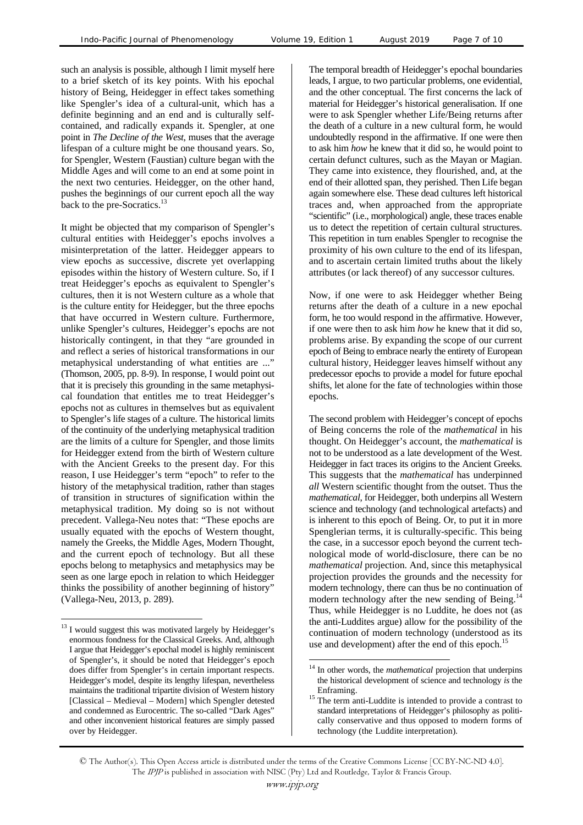such an analysis is possible, although I limit myself here to a brief sketch of its key points. With his epochal history of Being, Heidegger in effect takes something like Spengler's idea of a cultural-unit, which has a definite beginning and an end and is culturally selfcontained, and radically expands it. Spengler, at one point in *The Decline of the West*, muses that the average lifespan of a culture might be one thousand years. So, for Spengler, Western (Faustian) culture began with the Middle Ages and will come to an end at some point in the next two centuries. Heidegger, on the other hand, pushes the beginnings of our current epoch all the way back to the pre-Socratics.<sup>13</sup>

It might be objected that my comparison of Spengler's cultural entities with Heidegger's epochs involves a misinterpretation of the latter. Heidegger appears to view epochs as successive, discrete yet overlapping episodes within the history of Western culture. So, if I treat Heidegger's epochs as equivalent to Spengler's cultures, then it is not Western culture as a whole that is the culture entity for Heidegger, but the three epochs that have occurred in Western culture. Furthermore, unlike Spengler's cultures, Heidegger's epochs are not historically contingent, in that they "are grounded in and reflect a series of historical transformations in our metaphysical understanding of what entities are ..." (Thomson, 2005, pp. 8-9). In response, I would point out that it is precisely this grounding in the same metaphysical foundation that entitles me to treat Heidegger's epochs not as cultures in themselves but as equivalent to Spengler's life stages of a culture. The historical limits of the continuity of the underlying metaphysical tradition are the limits of a culture for Spengler, and those limits for Heidegger extend from the birth of Western culture with the Ancient Greeks to the present day. For this reason, I use Heidegger's term "epoch" to refer to the history of the metaphysical tradition, rather than stages of transition in structures of signification within the metaphysical tradition. My doing so is not without precedent. Vallega-Neu notes that: "These epochs are usually equated with the epochs of Western thought, namely the Greeks, the Middle Ages, Modern Thought, and the current epoch of technology. But all these epochs belong to metaphysics and metaphysics may be seen as one large epoch in relation to which Heidegger thinks the possibility of another beginning of history" (Vallega-Neu, 2013, p. 289).

 $\overline{a}$ 

The temporal breadth of Heidegger's epochal boundaries leads, I argue, to two particular problems, one evidential, and the other conceptual. The first concerns the lack of material for Heidegger's historical generalisation. If one were to ask Spengler whether Life/Being returns after the death of a culture in a new cultural form, he would undoubtedly respond in the affirmative. If one were then to ask him *how* he knew that it did so, he would point to certain defunct cultures, such as the Mayan or Magian. They came into existence, they flourished, and, at the end of their allotted span, they perished. Then Life began again somewhere else. These dead cultures left historical traces and, when approached from the appropriate "scientific" (i.e., morphological) angle, these traces enable us to detect the repetition of certain cultural structures. This repetition in turn enables Spengler to recognise the proximity of his own culture to the end of its lifespan, and to ascertain certain limited truths about the likely attributes (or lack thereof) of any successor cultures.

Now, if one were to ask Heidegger whether Being returns after the death of a culture in a new epochal form, he too would respond in the affirmative. However, if one were then to ask him *how* he knew that it did so, problems arise. By expanding the scope of our current epoch of Being to embrace nearly the entirety of European cultural history, Heidegger leaves himself without any predecessor epochs to provide a model for future epochal shifts, let alone for the fate of technologies within those epochs.

The second problem with Heidegger's concept of epochs of Being concerns the role of the *mathematical* in his thought. On Heidegger's account, the *mathematical* is not to be understood as a late development of the West. Heidegger in fact traces its origins to the Ancient Greeks. This suggests that the *mathematical* has underpinned *all* Western scientific thought from the outset. Thus the *mathematical*, for Heidegger, both underpins all Western science and technology (and technological artefacts) and is inherent to this epoch of Being. Or, to put it in more Spenglerian terms, it is culturally-specific. This being the case, in a successor epoch beyond the current technological mode of world-disclosure, there can be no *mathematical* projection. And, since this metaphysical projection provides the grounds and the necessity for modern technology, there can thus be no continuation of modern technology after the new sending of Being.<sup>14</sup> Thus, while Heidegger is no Luddite, he does not (as the anti-Luddites argue) allow for the possibility of the continuation of modern technology (understood as its use and development) after the end of this epoch.<sup>15</sup>

 $\overline{a}$ 

<sup>&</sup>lt;sup>13</sup> I would suggest this was motivated largely by Heidegger's enormous fondness for the Classical Greeks. And, although I argue that Heidegger's epochal model is highly reminiscent of Spengler's, it should be noted that Heidegger's epoch does differ from Spengler's in certain important respects. Heidegger's model, despite its lengthy lifespan, nevertheless maintains the traditional tripartite division of Western history [Classical – Medieval – Modern] which Spengler detested and condemned as Eurocentric. The so-called "Dark Ages" and other inconvenient historical features are simply passed over by Heidegger.

<sup>&</sup>lt;sup>14</sup> In other words, the *mathematical* projection that underpins the historical development of science and technology *is* the

Enframing.  $15$  The term anti-Luddite is intended to provide a contrast to standard interpretations of Heidegger's philosophy as politically conservative and thus opposed to modern forms of technology (the Luddite interpretation).

<sup>©</sup> The Author(s). This Open Access article is distributed under the terms of the Creative Commons License [CC BY-NC-ND 4.0]. The IPJP is published in association with NISC (Pty) Ltd and Routledge, Taylor & Francis Group.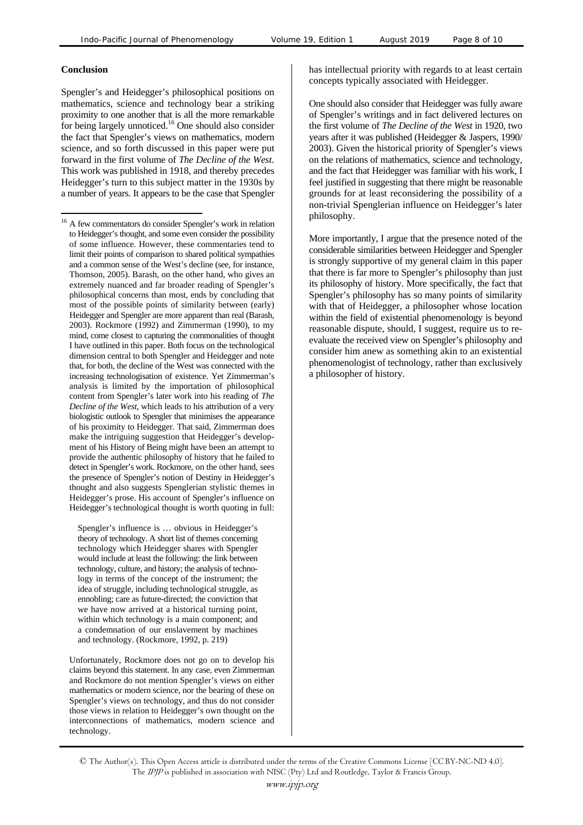#### **Conclusion**

 $\overline{a}$ 

Spengler's and Heidegger's philosophical positions on mathematics, science and technology bear a striking proximity to one another that is all the more remarkable for being largely unnoticed.<sup>16</sup> One should also consider the fact that Spengler's views on mathematics, modern science, and so forth discussed in this paper were put forward in the first volume of *The Decline of the West*. This work was published in 1918, and thereby precedes Heidegger's turn to this subject matter in the 1930s by a number of years. It appears to be the case that Spengler

Spengler's influence is … obvious in Heidegger's theory of technology. A short list of themes concerning technology which Heidegger shares with Spengler would include at least the following: the link between technology, culture, and history; the analysis of technology in terms of the concept of the instrument; the idea of struggle, including technological struggle, as ennobling; care as future-directed; the conviction that we have now arrived at a historical turning point, within which technology is a main component; and a condemnation of our enslavement by machines and technology. (Rockmore, 1992, p. 219)

 Unfortunately, Rockmore does not go on to develop his claims beyond this statement. In any case, even Zimmerman and Rockmore do not mention Spengler's views on either mathematics or modern science, nor the bearing of these on Spengler's views on technology, and thus do not consider those views in relation to Heidegger's own thought on the interconnections of mathematics, modern science and technology.

has intellectual priority with regards to at least certain concepts typically associated with Heidegger.

One should also consider that Heidegger was fully aware of Spengler's writings and in fact delivered lectures on the first volume of *The Decline of the West* in 1920, two years after it was published (Heidegger & Jaspers, 1990/ 2003). Given the historical priority of Spengler's views on the relations of mathematics, science and technology, and the fact that Heidegger was familiar with his work, I feel justified in suggesting that there might be reasonable grounds for at least reconsidering the possibility of a non-trivial Spenglerian influence on Heidegger's later philosophy.

More importantly, I argue that the presence noted of the considerable similarities between Heidegger and Spengler is strongly supportive of my general claim in this paper that there is far more to Spengler's philosophy than just its philosophy of history. More specifically, the fact that Spengler's philosophy has so many points of similarity with that of Heidegger, a philosopher whose location within the field of existential phenomenology is beyond reasonable dispute, should, I suggest, require us to reevaluate the received view on Spengler's philosophy and consider him anew as something akin to an existential phenomenologist of technology, rather than exclusively a philosopher of history.

© The Author(s). This Open Access article is distributed under the terms of the Creative Commons License [CC BY-NC-ND 4.0]. The IPJP is published in association with NISC (Pty) Ltd and Routledge, Taylor & Francis Group.

<sup>16</sup> A few commentators do consider Spengler's work in relation to Heidegger's thought, and some even consider the possibility of some influence. However, these commentaries tend to limit their points of comparison to shared political sympathies and a common sense of the West's decline (see, for instance, Thomson, 2005). Barash, on the other hand, who gives an extremely nuanced and far broader reading of Spengler's philosophical concerns than most, ends by concluding that most of the possible points of similarity between (early) Heidegger and Spengler are more apparent than real (Barash, 2003). Rockmore (1992) and Zimmerman (1990), to my mind, come closest to capturing the commonalities of thought I have outlined in this paper. Both focus on the technological dimension central to both Spengler and Heidegger and note that, for both, the decline of the West was connected with the increasing technologisation of existence. Yet Zimmerman's analysis is limited by the importation of philosophical content from Spengler's later work into his reading of *The Decline of the West*, which leads to his attribution of a very biologistic outlook to Spengler that minimises the appearance of his proximity to Heidegger. That said, Zimmerman does make the intriguing suggestion that Heidegger's development of his History of Being might have been an attempt to provide the authentic philosophy of history that he failed to detect in Spengler's work. Rockmore, on the other hand, sees the presence of Spengler's notion of Destiny in Heidegger's thought and also suggests Spenglerian stylistic themes in Heidegger's prose. His account of Spengler's influence on Heidegger's technological thought is worth quoting in full: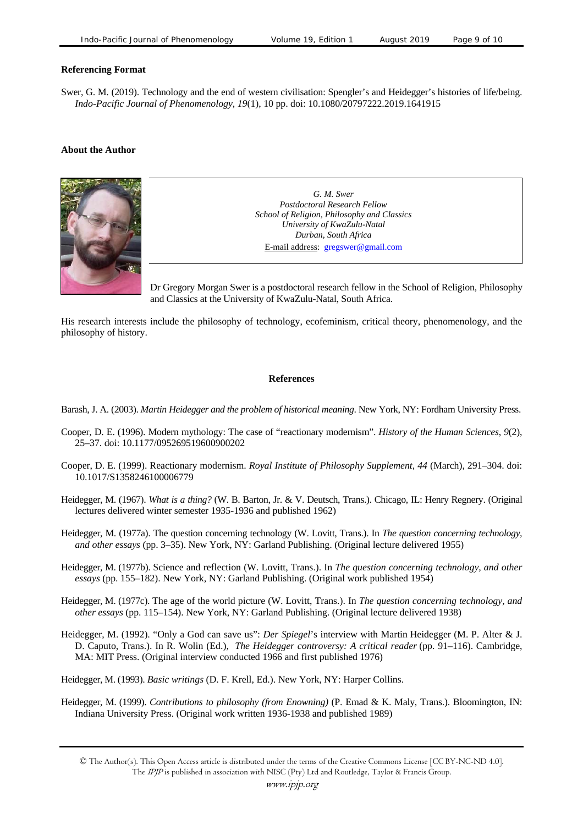#### **Referencing Format**

Swer, G. M. (2019). Technology and the end of western civilisation: Spengler's and Heidegger's histories of life/being. *Indo-Pacific Journal of Phenomenology*, *19*(1), 10 pp. doi: 10.1080/20797222.2019.1641915

#### **About the Author**



*G. M. Swer Postdoctoral Research Fellow School of Religion, Philosophy and Classics University of KwaZulu-Natal Durban, South Africa*  E-mail address: gregswer@gmail.com

Dr Gregory Morgan Swer is a postdoctoral research fellow in the School of Religion, Philosophy and Classics at the University of KwaZulu-Natal, South Africa.

His research interests include the philosophy of technology, ecofeminism, critical theory, phenomenology, and the philosophy of history.

#### **References**

Barash, J. A. (2003). *Martin Heidegger and the problem of historical meaning*. New York, NY: Fordham University Press.

- Cooper, D. E. (1996). Modern mythology: The case of "reactionary modernism". *History of the Human Sciences*, *9*(2), 25–37. doi: 10.1177/095269519600900202
- Cooper, D. E. (1999). Reactionary modernism. *Royal Institute of Philosophy Supplement*, *44* (March), 291–304. doi: 10.1017/S1358246100006779
- Heidegger, M. (1967). *What is a thing?* (W. B. Barton, Jr. & V. Deutsch, Trans.). Chicago, IL: Henry Regnery. (Original lectures delivered winter semester 1935-1936 and published 1962)
- Heidegger, M. (1977a). The question concerning technology (W. Lovitt, Trans.). In *The question concerning technology, and other essays* (pp. 3–35). New York, NY: Garland Publishing. (Original lecture delivered 1955)
- Heidegger, M. (1977b). Science and reflection (W. Lovitt, Trans.). In *The question concerning technology, and other essays* (pp. 155–182). New York, NY: Garland Publishing. (Original work published 1954)
- Heidegger, M. (1977c). The age of the world picture (W. Lovitt, Trans.). In *The question concerning technology, and other essays* (pp. 115–154). New York, NY: Garland Publishing. (Original lecture delivered 1938)
- Heidegger, M. (1992). "Only a God can save us": *Der Spiegel*'s interview with Martin Heidegger (M. P. Alter & J. D. Caputo, Trans.). In R. Wolin (Ed.), *The Heidegger controversy: A critical reader* (pp. 91–116). Cambridge, MA: MIT Press. (Original interview conducted 1966 and first published 1976)

Heidegger, M. (1993). *Basic writings* (D. F. Krell, Ed.). New York, NY: Harper Collins.

Heidegger, M. (1999). *Contributions to philosophy (from Enowning)* (P. Emad & K. Maly, Trans.). Bloomington, IN: Indiana University Press. (Original work written 1936-1938 and published 1989)

<sup>©</sup> The Author(s). This Open Access article is distributed under the terms of the Creative Commons License [CC BY-NC-ND 4.0]. The IPJP is published in association with NISC (Pty) Ltd and Routledge, Taylor & Francis Group.